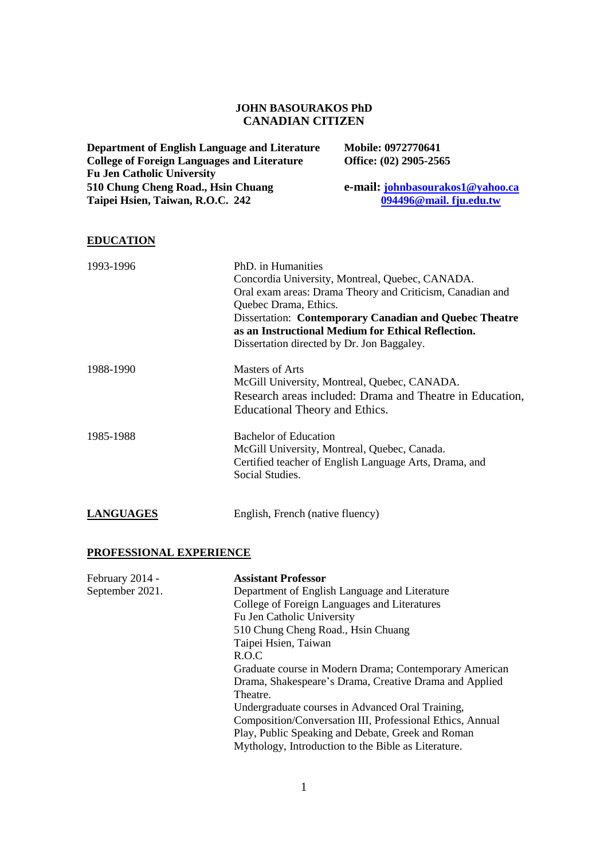## **JOHN BASOURAKOS PhD CANADIAN CITIZEN**

| <b>Department of English Language and Literature</b> | Mobile: 0972770641               |
|------------------------------------------------------|----------------------------------|
| <b>College of Foreign Languages and Literature</b>   | Office: (02) 2905-2565           |
| <b>Fu Jen Catholic University</b>                    |                                  |
| 510 Chung Cheng Road., Hsin Chuang                   | e-mail: johnbasourakos1@yahoo.ca |
| Taipei Hsien, Taiwan, R.O.C. 242                     | 094496@mail.fju.edu.tw           |
|                                                      |                                  |

## **EDUCATION**

| 1993-1996        | PhD, in Humanities                                            |
|------------------|---------------------------------------------------------------|
|                  | Concordia University, Montreal, Quebec, CANADA.               |
|                  | Oral exam areas: Drama Theory and Criticism, Canadian and     |
|                  | Quebec Drama, Ethics.                                         |
|                  | <b>Dissertation: Contemporary Canadian and Quebec Theatre</b> |
|                  | as an Instructional Medium for Ethical Reflection.            |
|                  | Dissertation directed by Dr. Jon Baggaley.                    |
| 1988-1990        | Masters of Arts                                               |
|                  | McGill University, Montreal, Quebec, CANADA.                  |
|                  | Research areas included: Drama and Theatre in Education,      |
|                  | Educational Theory and Ethics.                                |
| 1985-1988        | <b>Bachelor of Education</b>                                  |
|                  | McGill University, Montreal, Quebec, Canada.                  |
|                  | Certified teacher of English Language Arts, Drama, and        |
|                  | Social Studies.                                               |
| <b>LANGUAGES</b> | English, French (native fluency)                              |

# **PROFESSIONAL EXPERIENCE**

| February 2014 - | <b>Assistant Professor</b>                                |
|-----------------|-----------------------------------------------------------|
| September 2021. | Department of English Language and Literature             |
|                 | College of Foreign Languages and Literatures              |
|                 | Fu Jen Catholic University                                |
|                 | 510 Chung Cheng Road., Hsin Chuang                        |
|                 | Taipei Hsien, Taiwan                                      |
|                 | R.O.C                                                     |
|                 | Graduate course in Modern Drama; Contemporary American    |
|                 | Drama, Shakespeare's Drama, Creative Drama and Applied    |
|                 | Theatre.                                                  |
|                 | Undergraduate courses in Advanced Oral Training,          |
|                 | Composition/Conversation III, Professional Ethics, Annual |
|                 | Play, Public Speaking and Debate, Greek and Roman         |
|                 | Mythology, Introduction to the Bible as Literature.       |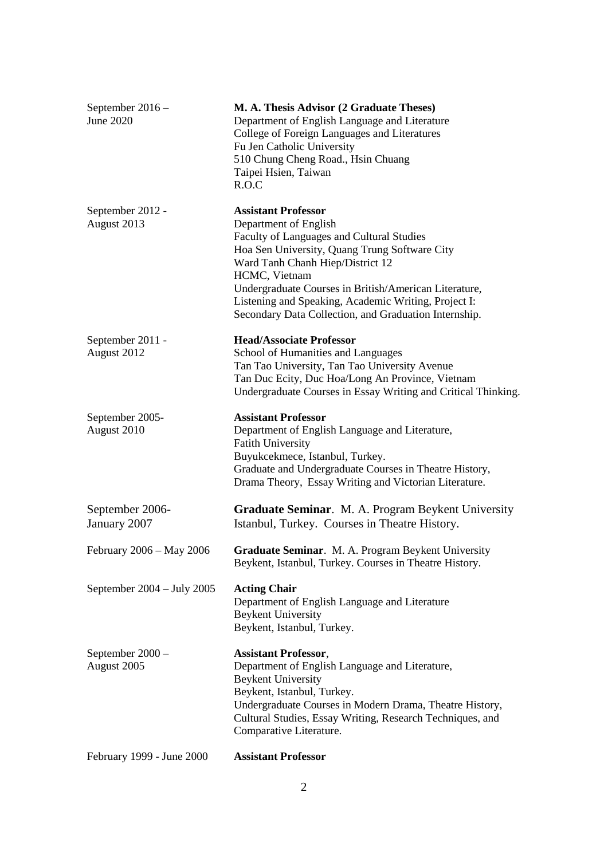| September 2016 -<br>June 2020        | M. A. Thesis Advisor (2 Graduate Theses)<br>Department of English Language and Literature<br>College of Foreign Languages and Literatures<br>Fu Jen Catholic University<br>510 Chung Cheng Road., Hsin Chuang<br>Taipei Hsien, Taiwan<br>R.O.C                                                                                                                                   |
|--------------------------------------|----------------------------------------------------------------------------------------------------------------------------------------------------------------------------------------------------------------------------------------------------------------------------------------------------------------------------------------------------------------------------------|
| September 2012 -<br>August 2013      | <b>Assistant Professor</b><br>Department of English<br>Faculty of Languages and Cultural Studies<br>Hoa Sen University, Quang Trung Software City<br>Ward Tanh Chanh Hiep/District 12<br>HCMC, Vietnam<br>Undergraduate Courses in British/American Literature,<br>Listening and Speaking, Academic Writing, Project I:<br>Secondary Data Collection, and Graduation Internship. |
| September 2011 -<br>August 2012      | <b>Head/Associate Professor</b><br>School of Humanities and Languages<br>Tan Tao University, Tan Tao University Avenue<br>Tan Duc Ecity, Duc Hoa/Long An Province, Vietnam<br>Undergraduate Courses in Essay Writing and Critical Thinking.                                                                                                                                      |
| September 2005-<br>August 2010       | <b>Assistant Professor</b><br>Department of English Language and Literature,<br><b>Fatith University</b><br>Buyukcekmece, Istanbul, Turkey.<br>Graduate and Undergraduate Courses in Theatre History,<br>Drama Theory, Essay Writing and Victorian Literature.                                                                                                                   |
| September 2006-<br>January 2007      | Graduate Seminar. M. A. Program Beykent University<br>Istanbul, Turkey. Courses in Theatre History.                                                                                                                                                                                                                                                                              |
| February 2006 - May 2006             | Graduate Seminar. M. A. Program Beykent University<br>Beykent, Istanbul, Turkey. Courses in Theatre History.                                                                                                                                                                                                                                                                     |
| September $2004 - \text{July } 2005$ | <b>Acting Chair</b><br>Department of English Language and Literature<br><b>Beykent University</b><br>Beykent, Istanbul, Turkey.                                                                                                                                                                                                                                                  |
| September 2000 -<br>August 2005      | <b>Assistant Professor,</b><br>Department of English Language and Literature,<br><b>Beykent University</b><br>Beykent, Istanbul, Turkey.<br>Undergraduate Courses in Modern Drama, Theatre History,<br>Cultural Studies, Essay Writing, Research Techniques, and<br>Comparative Literature.                                                                                      |
| February 1999 - June 2000            | <b>Assistant Professor</b>                                                                                                                                                                                                                                                                                                                                                       |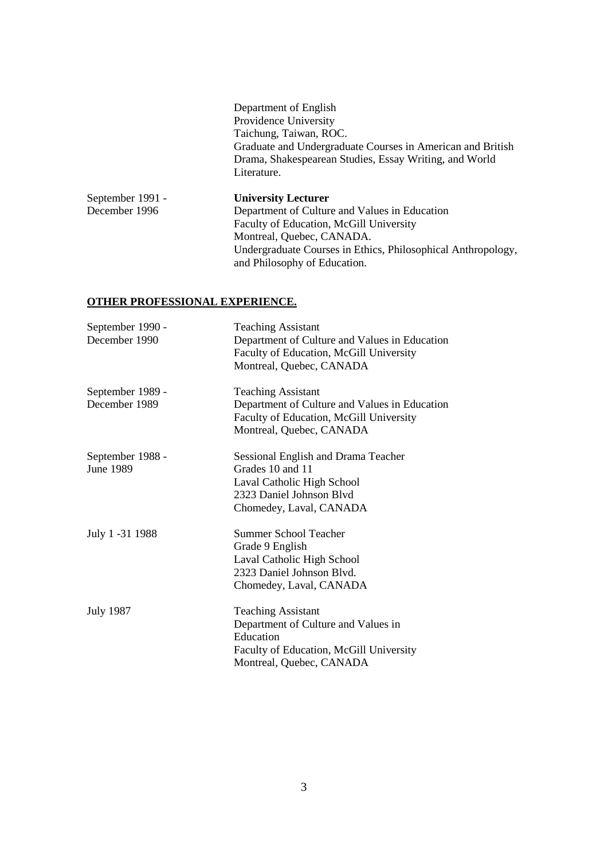Department of English Providence University Taichung, Taiwan, ROC. Graduate and Undergraduate Courses in American and British Drama, Shakespearean Studies, Essay Writing, and World Literature.

| September 1991 - | <b>University Lecturer</b>                                   |
|------------------|--------------------------------------------------------------|
| December 1996    | Department of Culture and Values in Education                |
|                  | Faculty of Education, McGill University                      |
|                  | Montreal, Quebec, CANADA.                                    |
|                  | Undergraduate Courses in Ethics, Philosophical Anthropology, |
|                  | and Philosophy of Education.                                 |

## **OTHER PROFESSIONAL EXPERIENCE.**

| September 1990 -<br>December 1990 | <b>Teaching Assistant</b><br>Department of Culture and Values in Education<br>Faculty of Education, McGill University<br>Montreal, Quebec, CANADA    |
|-----------------------------------|------------------------------------------------------------------------------------------------------------------------------------------------------|
| September 1989 -<br>December 1989 | <b>Teaching Assistant</b><br>Department of Culture and Values in Education<br>Faculty of Education, McGill University<br>Montreal, Quebec, CANADA    |
| September 1988 -<br>June 1989     | Sessional English and Drama Teacher<br>Grades 10 and 11<br>Laval Catholic High School<br>2323 Daniel Johnson Blyd<br>Chomedey, Laval, CANADA         |
| July 1 -31 1988                   | <b>Summer School Teacher</b><br>Grade 9 English<br>Laval Catholic High School<br>2323 Daniel Johnson Blyd.<br>Chomedey, Laval, CANADA                |
| <b>July 1987</b>                  | <b>Teaching Assistant</b><br>Department of Culture and Values in<br>Education<br>Faculty of Education, McGill University<br>Montreal, Quebec, CANADA |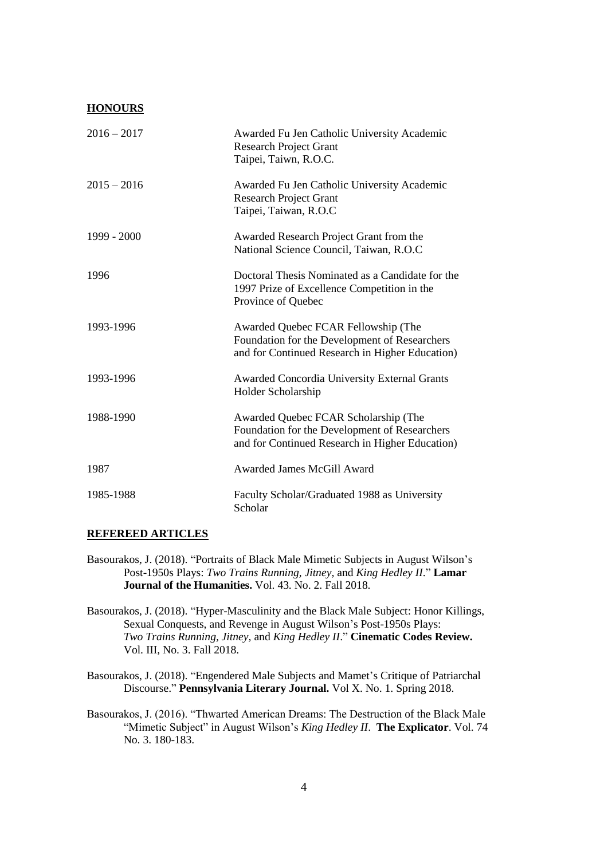#### **HONOURS**

| $2016 - 2017$ | Awarded Fu Jen Catholic University Academic<br><b>Research Project Grant</b><br>Taipei, Taiwn, R.O.C.                                    |
|---------------|------------------------------------------------------------------------------------------------------------------------------------------|
| $2015 - 2016$ | Awarded Fu Jen Catholic University Academic<br><b>Research Project Grant</b><br>Taipei, Taiwan, R.O.C                                    |
| 1999 - 2000   | Awarded Research Project Grant from the<br>National Science Council, Taiwan, R.O.C                                                       |
| 1996          | Doctoral Thesis Nominated as a Candidate for the<br>1997 Prize of Excellence Competition in the<br>Province of Quebec                    |
| 1993-1996     | Awarded Quebec FCAR Fellowship (The<br>Foundation for the Development of Researchers<br>and for Continued Research in Higher Education)  |
| 1993-1996     | Awarded Concordia University External Grants<br>Holder Scholarship                                                                       |
| 1988-1990     | Awarded Quebec FCAR Scholarship (The<br>Foundation for the Development of Researchers<br>and for Continued Research in Higher Education) |
| 1987          | <b>Awarded James McGill Award</b>                                                                                                        |
| 1985-1988     | Faculty Scholar/Graduated 1988 as University<br>Scholar                                                                                  |

#### **REFEREED ARTICLES**

- Basourakos, J. (2018). "Portraits of Black Male Mimetic Subjects in August Wilson's Post-1950s Plays: *Two Trains Running, Jitney,* and *King Hedley II*." **Lamar Journal of the Humanities.** Vol. 43. No. 2. Fall 2018.
- Basourakos, J. (2018). "Hyper-Masculinity and the Black Male Subject: Honor Killings, Sexual Conquests, and Revenge in August Wilson's Post-1950s Plays: *Two Trains Running, Jitney,* and *King Hedley II*." **Cinematic Codes Review.** Vol. III, No. 3. Fall 2018.
- Basourakos, J. (2018). "Engendered Male Subjects and Mamet's Critique of Patriarchal Discourse." **Pennsylvania Literary Journal.** Vol X. No. 1. Spring 2018.
- Basourakos, J. (2016). "Thwarted American Dreams: The Destruction of the Black Male "Mimetic Subject" in August Wilson's *King Hedley II*. **The Explicator**. Vol. 74 No. 3. 180-183.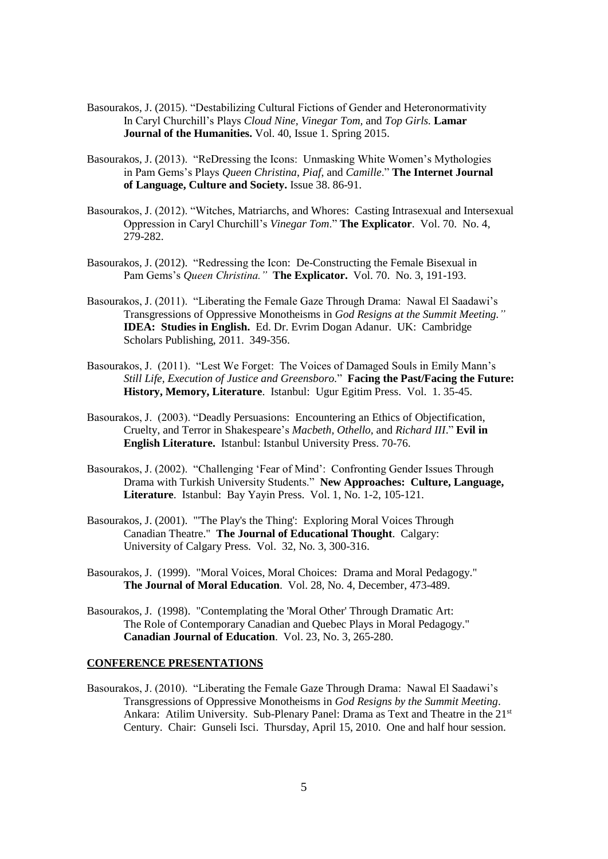- Basourakos, J. (2015). "Destabilizing Cultural Fictions of Gender and Heteronormativity In Caryl Churchill's Plays *Cloud Nine, Vinegar Tom,* and *Top Girls.* **Lamar Journal of the Humanities.** Vol. 40, Issue 1. Spring 2015.
- Basourakos, J. (2013). "ReDressing the Icons: Unmasking White Women's Mythologies in Pam Gems's Plays *Queen Christina*, *Piaf*, and *Camille*." **The Internet Journal of Language, Culture and Society.** Issue 38. 86-91.
- Basourakos, J. (2012). "Witches, Matriarchs, and Whores: Casting Intrasexual and Intersexual Oppression in Caryl Churchill's *Vinegar Tom*." **The Explicator**. Vol. 70. No. 4, 279-282.
- Basourakos, J. (2012). "Redressing the Icon: De-Constructing the Female Bisexual in Pam Gems's *Queen Christina."* **The Explicator.**Vol. 70. No. 3, 191-193.
- Basourakos, J. (2011). "Liberating the Female Gaze Through Drama: Nawal El Saadawi's Transgressions of Oppressive Monotheisms in *God Resigns at the Summit Meeting."* **IDEA: Studies in English.** Ed. Dr. Evrim Dogan Adanur. UK: Cambridge Scholars Publishing, 2011. 349-356.
- Basourakos, J. (2011). "Lest We Forget: The Voices of Damaged Souls in Emily Mann's *Still Life, Execution of Justice and Greensboro.*" **Facing the Past/Facing the Future: History, Memory, Literature**. Istanbul: Ugur Egitim Press. Vol. 1. 35-45.
- Basourakos, J. (2003). "Deadly Persuasions: Encountering an Ethics of Objectification, Cruelty, and Terror in Shakespeare's *Macbeth, Othello,* and *Richard III*." **Evil in English Literature.** Istanbul: Istanbul University Press. 70-76.
- Basourakos, J. (2002). "Challenging 'Fear of Mind': Confronting Gender Issues Through Drama with Turkish University Students." **New Approaches: Culture, Language, Literature**. Istanbul: Bay Yayin Press. Vol. 1, No. 1-2, 105-121.
- Basourakos, J. (2001). "'The Play's the Thing': Exploring Moral Voices Through Canadian Theatre." **The Journal of Educational Thought**. Calgary: University of Calgary Press. Vol. 32, No. 3, 300-316.
- Basourakos, J. (1999). "Moral Voices, Moral Choices: Drama and Moral Pedagogy." **The Journal of Moral Education**. Vol. 28, No. 4, December, 473-489.
- Basourakos, J. (1998). "Contemplating the 'Moral Other' Through Dramatic Art: The Role of Contemporary Canadian and Quebec Plays in Moral Pedagogy." **Canadian Journal of Education**. Vol. 23, No. 3, 265-280.

## **CONFERENCE PRESENTATIONS**

Basourakos, J. (2010). "Liberating the Female Gaze Through Drama: Nawal El Saadawi's Transgressions of Oppressive Monotheisms in *God Resigns by the Summit Meeting*. Ankara: Atilim University. Sub-Plenary Panel: Drama as Text and Theatre in the 21st Century. Chair: Gunseli Isci. Thursday, April 15, 2010. One and half hour session.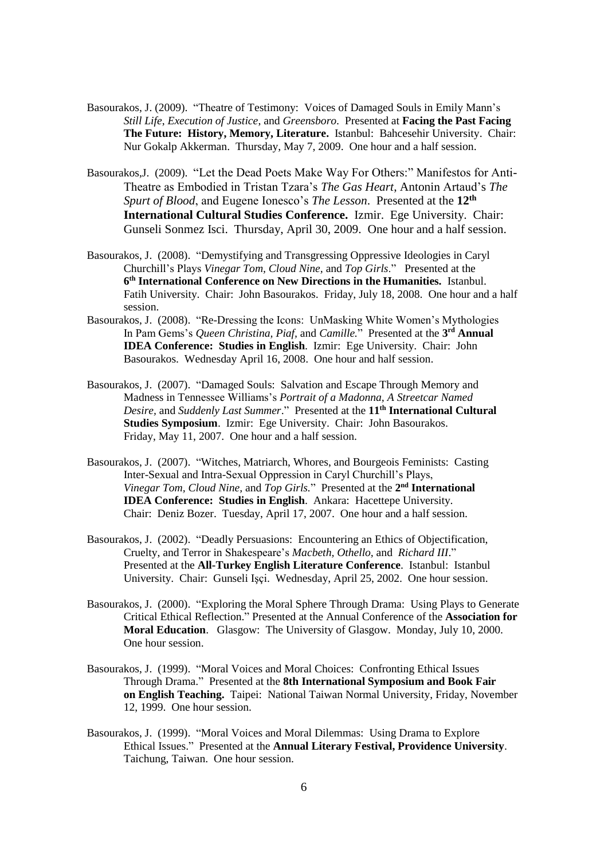- Basourakos, J. (2009). "Theatre of Testimony: Voices of Damaged Souls in Emily Mann's *Still Life*, *Execution of Justice*, and *Greensboro*. Presented at **Facing the Past Facing The Future: History, Memory, Literature.** Istanbul: Bahcesehir University. Chair: Nur Gokalp Akkerman. Thursday, May 7, 2009. One hour and a half session.
- Basourakos,J. (2009). "Let the Dead Poets Make Way For Others:" Manifestos for Anti-Theatre as Embodied in Tristan Tzara's *The Gas Heart*, Antonin Artaud's *The Spurt of Blood*, and Eugene Ionesco's *The Lesson*. Presented at the **12th International Cultural Studies Conference.** Izmir. Ege University. Chair: Gunseli Sonmez Isci. Thursday, April 30, 2009. One hour and a half session.
- Basourakos, J. (2008). "Demystifying and Transgressing Oppressive Ideologies in Caryl Churchill's Plays *Vinegar Tom, Cloud Nine,* and *Top Girls*."Presented at the **6 th International Conference on New Directions in the Humanities.** Istanbul. Fatih University. Chair: John Basourakos. Friday, July 18, 2008. One hour and a half session.
- Basourakos, J. (2008). "Re-Dressing the Icons: UnMasking White Women's Mythologies In Pam Gems's *Queen Christina, Piaf,* and *Camille.*" Presented at the **3 rd Annual IDEA Conference: Studies in English**. Izmir: Ege University. Chair: John Basourakos. Wednesday April 16, 2008. One hour and half session.
- Basourakos, J. (2007). "Damaged Souls: Salvation and Escape Through Memory and Madness in Tennessee Williams's *Portrait of a Madonna, A Streetcar Named Desire,* and *Suddenly Last Summer*." Presented at the **11th International Cultural Studies Symposium**. Izmir: Ege University. Chair: John Basourakos. Friday, May 11, 2007. One hour and a half session.
- Basourakos, J. (2007). "Witches, Matriarch, Whores, and Bourgeois Feminists: Casting Inter-Sexual and Intra-Sexual Oppression in Caryl Churchill's Plays, *Vinegar Tom, Cloud Nine,* and *Top Girls.*"Presented at the **2 nd International IDEA Conference: Studies in English**. Ankara: Hacettepe University. Chair: Deniz Bozer. Tuesday, April 17, 2007. One hour and a half session.
- Basourakos, J. (2002). "Deadly Persuasions: Encountering an Ethics of Objectification, Cruelty, and Terror in Shakespeare's *Macbeth, Othello,* and *Richard III*." Presented at the **All-Turkey English Literature Conference**. Istanbul: Istanbul University. Chair: Gunseli Işçi. Wednesday, April 25, 2002. One hour session.
- Basourakos, J. (2000). "Exploring the Moral Sphere Through Drama: Using Plays to Generate Critical Ethical Reflection." Presented at the Annual Conference of the **Association for Moral Education**. Glasgow: The University of Glasgow. Monday, July 10, 2000. One hour session.
- Basourakos, J. (1999). "Moral Voices and Moral Choices: Confronting Ethical Issues Through Drama." Presented at the **8th International Symposium and Book Fair on English Teaching.** Taipei: National Taiwan Normal University, Friday, November 12, 1999. One hour session.
- Basourakos, J. (1999). "Moral Voices and Moral Dilemmas: Using Drama to Explore Ethical Issues." Presented at the **Annual Literary Festival, Providence University**. Taichung, Taiwan. One hour session.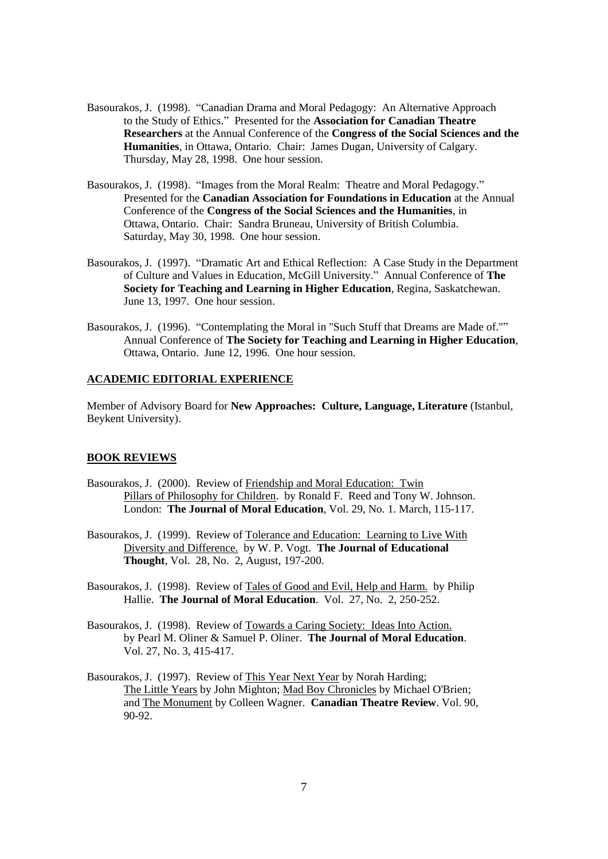- Basourakos, J. (1998). "Canadian Drama and Moral Pedagogy: An Alternative Approach to the Study of Ethics." Presented for the **Association for Canadian Theatre Researchers** at the Annual Conference of the **Congress of the Social Sciences and the Humanities***,* in Ottawa, Ontario. Chair: James Dugan, University of Calgary. Thursday, May 28, 1998. One hour session.
- Basourakos, J. (1998). "Images from the Moral Realm: Theatre and Moral Pedagogy." Presented for the **Canadian Association for Foundations in Education** at the Annual Conference of the **Congress of the Social Sciences and the Humanities**, in Ottawa, Ontario. Chair: Sandra Bruneau, University of British Columbia. Saturday, May 30, 1998. One hour session.
- Basourakos, J. (1997). "Dramatic Art and Ethical Reflection: A Case Study in the Department of Culture and Values in Education, McGill University." Annual Conference of **The Society for Teaching and Learning in Higher Education**, Regina, Saskatchewan. June 13, 1997. One hour session.
- Basourakos, J. (1996). "Contemplating the Moral in "Such Stuff that Dreams are Made of."" Annual Conference of **The Society for Teaching and Learning in Higher Education**, Ottawa, Ontario. June 12, 1996. One hour session.

## **ACADEMIC EDITORIAL EXPERIENCE**

Member of Advisory Board for **New Approaches: Culture, Language, Literature** (Istanbul, Beykent University).

#### **BOOK REVIEWS**

- Basourakos, J. (2000). Review of Friendship and Moral Education: Twin Pillars of Philosophy for Children. by Ronald F. Reed and Tony W. Johnson. London: **The Journal of Moral Education**, Vol. 29, No. 1. March, 115-117.
- Basourakos, J. (1999). Review of Tolerance and Education: Learning to Live With Diversity and Difference. by W. P. Vogt. **The Journal of Educational Thought**, Vol. 28, No. 2, August, 197-200.
- Basourakos, J. (1998). Review of Tales of Good and Evil, Help and Harm. by Philip Hallie. **The Journal of Moral Education**. Vol. 27, No. 2, 250-252.
- Basourakos, J. (1998). Review of Towards a Caring Society: Ideas Into Action. by Pearl M. Oliner & Samuel P. Oliner. **The Journal of Moral Education**. Vol. 27, No. 3, 415-417.
- Basourakos, J. (1997). Review of This Year Next Year by Norah Harding; The Little Years by John Mighton; Mad Boy Chronicles by Michael O'Brien; and The Monument by Colleen Wagner. **Canadian Theatre Review**. Vol. 90, 90-92.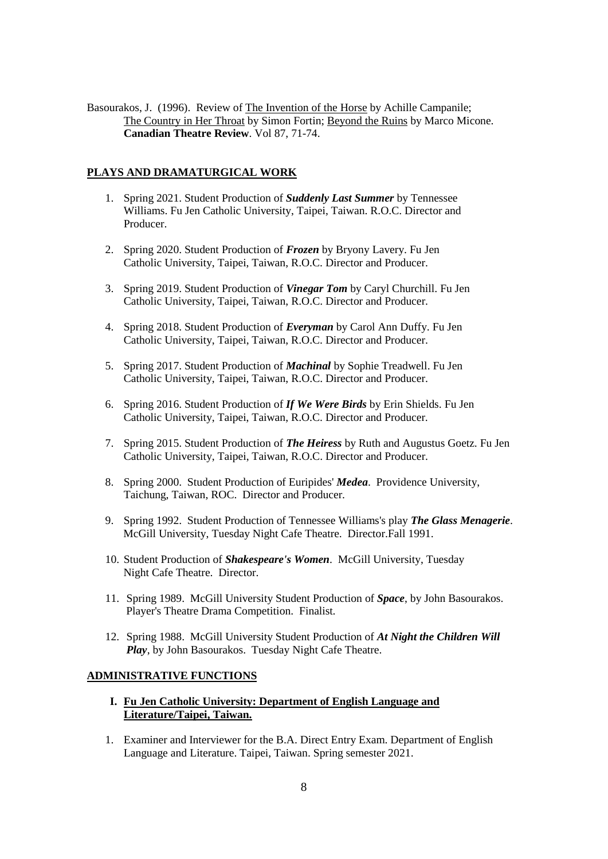Basourakos, J. (1996). Review of The Invention of the Horse by Achille Campanile; The Country in Her Throat by Simon Fortin; Beyond the Ruins by Marco Micone. **Canadian Theatre Review**. Vol 87, 71-74.

### **PLAYS AND DRAMATURGICAL WORK**

- 1. Spring 2021. Student Production of *Suddenly Last Summer* by Tennessee Williams. Fu Jen Catholic University, Taipei, Taiwan. R.O.C. Director and Producer.
- 2. Spring 2020. Student Production of *Frozen* by Bryony Lavery. Fu Jen Catholic University, Taipei, Taiwan, R.O.C. Director and Producer.
- 3. Spring 2019. Student Production of *Vinegar Tom* by Caryl Churchill. Fu Jen Catholic University, Taipei, Taiwan, R.O.C. Director and Producer.
- 4. Spring 2018. Student Production of *Everyman* by Carol Ann Duffy. Fu Jen Catholic University, Taipei, Taiwan, R.O.C. Director and Producer.
- 5. Spring 2017. Student Production of *Machinal* by Sophie Treadwell. Fu Jen Catholic University, Taipei, Taiwan, R.O.C. Director and Producer.
- 6. Spring 2016. Student Production of *If We Were Birds* by Erin Shields. Fu Jen Catholic University, Taipei, Taiwan, R.O.C. Director and Producer.
- 7. Spring 2015. Student Production of *The Heiress* by Ruth and Augustus Goetz. Fu Jen Catholic University, Taipei, Taiwan, R.O.C. Director and Producer.
- 8. Spring 2000. Student Production of Euripides' *Medea*. Providence University, Taichung, Taiwan, ROC. Director and Producer.
- 9. Spring 1992. Student Production of Tennessee Williams's play *The Glass Menagerie*. McGill University, Tuesday Night Cafe Theatre. Director.Fall 1991.
- 10. Student Production of *Shakespeare's Women*. McGill University, Tuesday Night Cafe Theatre. Director.
- 11. Spring 1989. McGill University Student Production of *Space*, by John Basourakos. Player's Theatre Drama Competition. Finalist.
- 12. Spring 1988. McGill University Student Production of *At Night the Children Will* *Play*, by John Basourakos. Tuesday Night Cafe Theatre.

### **ADMINISTRATIVE FUNCTIONS**

### **I. Fu Jen Catholic University: Department of English Language and Literature/Taipei, Taiwan.**

1. Examiner and Interviewer for the B.A. Direct Entry Exam. Department of English Language and Literature. Taipei, Taiwan. Spring semester 2021.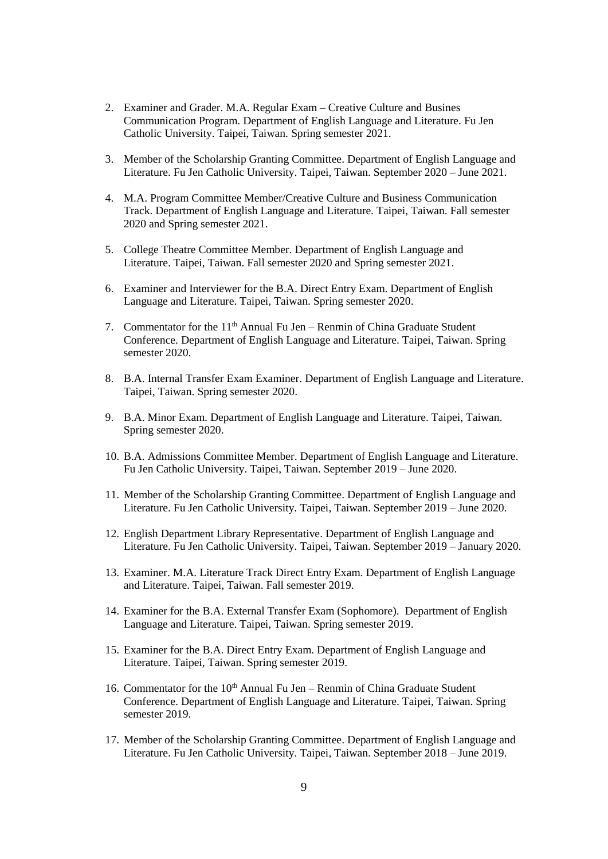- 2. Examiner and Grader. M.A. Regular Exam Creative Culture and Busines Communication Program. Department of English Language and Literature. Fu Jen Catholic University. Taipei, Taiwan. Spring semester 2021.
- 3. Member of the Scholarship Granting Committee. Department of English Language and Literature. Fu Jen Catholic University. Taipei, Taiwan. September 2020 – June 2021.
- 4. M.A. Program Committee Member/Creative Culture and Business Communication Track. Department of English Language and Literature. Taipei, Taiwan. Fall semester 2020 and Spring semester 2021.
- 5. College Theatre Committee Member. Department of English Language and Literature. Taipei, Taiwan. Fall semester 2020 and Spring semester 2021.
- 6. Examiner and Interviewer for the B.A. Direct Entry Exam. Department of English Language and Literature. Taipei, Taiwan. Spring semester 2020.
- 7. Commentator for the 11<sup>th</sup> Annual Fu Jen Renmin of China Graduate Student Conference. Department of English Language and Literature. Taipei, Taiwan. Spring semester 2020.
- 8. B.A. Internal Transfer Exam Examiner. Department of English Language and Literature. Taipei, Taiwan. Spring semester 2020.
- 9. B.A. Minor Exam. Department of English Language and Literature. Taipei, Taiwan. Spring semester 2020.
- 10. B.A. Admissions Committee Member. Department of English Language and Literature. Fu Jen Catholic University. Taipei, Taiwan. September 2019 – June 2020.
- 11. Member of the Scholarship Granting Committee. Department of English Language and Literature. Fu Jen Catholic University. Taipei, Taiwan. September 2019 – June 2020.
- 12. English Department Library Representative. Department of English Language and Literature. Fu Jen Catholic University. Taipei, Taiwan. September 2019 – January 2020.
- 13. Examiner. M.A. Literature Track Direct Entry Exam. Department of English Language and Literature. Taipei, Taiwan. Fall semester 2019.
- 14. Examiner for the B.A. External Transfer Exam (Sophomore). Department of English Language and Literature. Taipei, Taiwan. Spring semester 2019.
- 15. Examiner for the B.A. Direct Entry Exam. Department of English Language and Literature. Taipei, Taiwan. Spring semester 2019.
- 16. Commentator for the 10<sup>th</sup> Annual Fu Jen Renmin of China Graduate Student Conference. Department of English Language and Literature. Taipei, Taiwan. Spring semester 2019.
- 17. Member of the Scholarship Granting Committee. Department of English Language and Literature. Fu Jen Catholic University. Taipei, Taiwan. September 2018 – June 2019.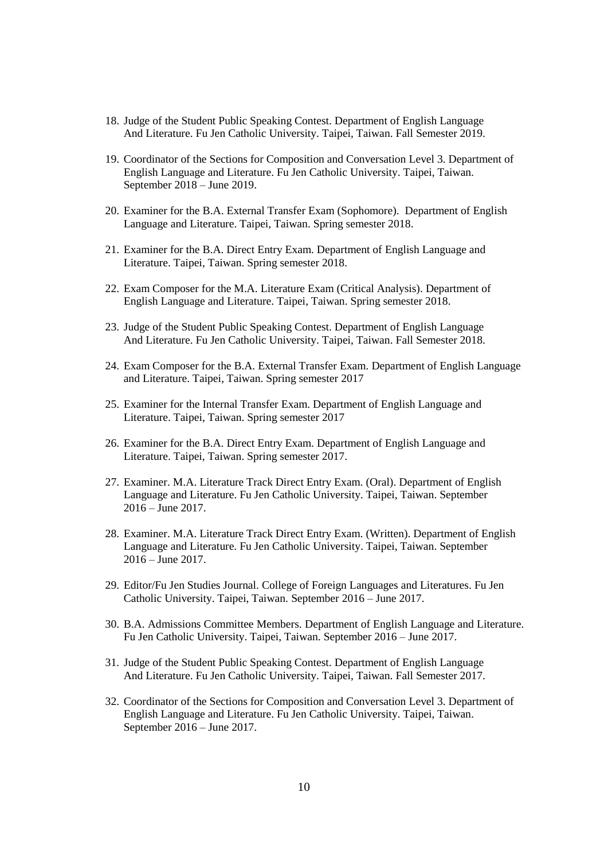- 18. Judge of the Student Public Speaking Contest. Department of English Language And Literature. Fu Jen Catholic University. Taipei, Taiwan. Fall Semester 2019.
- 19. Coordinator of the Sections for Composition and Conversation Level 3. Department of English Language and Literature. Fu Jen Catholic University. Taipei, Taiwan. September 2018 – June 2019.
- 20. Examiner for the B.A. External Transfer Exam (Sophomore). Department of English Language and Literature. Taipei, Taiwan. Spring semester 2018.
- 21. Examiner for the B.A. Direct Entry Exam. Department of English Language and Literature. Taipei, Taiwan. Spring semester 2018.
- 22. Exam Composer for the M.A. Literature Exam (Critical Analysis). Department of English Language and Literature. Taipei, Taiwan. Spring semester 2018.
- 23. Judge of the Student Public Speaking Contest. Department of English Language And Literature. Fu Jen Catholic University. Taipei, Taiwan. Fall Semester 2018.
- 24. Exam Composer for the B.A. External Transfer Exam. Department of English Language and Literature. Taipei, Taiwan. Spring semester 2017
- 25. Examiner for the Internal Transfer Exam. Department of English Language and Literature. Taipei, Taiwan. Spring semester 2017
- 26. Examiner for the B.A. Direct Entry Exam. Department of English Language and Literature. Taipei, Taiwan. Spring semester 2017.
- 27. Examiner. M.A. Literature Track Direct Entry Exam. (Oral). Department of English Language and Literature. Fu Jen Catholic University. Taipei, Taiwan. September  $2016 -$  June 2017.
- 28. Examiner. M.A. Literature Track Direct Entry Exam. (Written). Department of English Language and Literature. Fu Jen Catholic University. Taipei, Taiwan. September 2016 – June 2017.
- 29. Editor/Fu Jen Studies Journal. College of Foreign Languages and Literatures. Fu Jen Catholic University. Taipei, Taiwan. September 2016 – June 2017.
- 30. B.A. Admissions Committee Members. Department of English Language and Literature. Fu Jen Catholic University. Taipei, Taiwan. September 2016 – June 2017.
- 31. Judge of the Student Public Speaking Contest. Department of English Language And Literature. Fu Jen Catholic University. Taipei, Taiwan. Fall Semester 2017.
- 32. Coordinator of the Sections for Composition and Conversation Level 3. Department of English Language and Literature. Fu Jen Catholic University. Taipei, Taiwan. September 2016 – June 2017.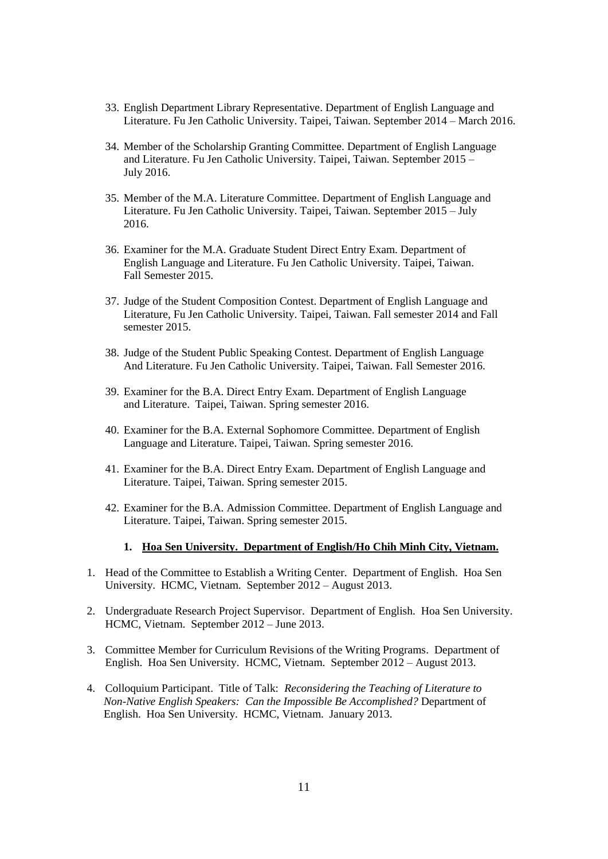- 33. English Department Library Representative. Department of English Language and Literature. Fu Jen Catholic University. Taipei, Taiwan. September 2014 – March 2016.
- 34. Member of the Scholarship Granting Committee. Department of English Language and Literature. Fu Jen Catholic University. Taipei, Taiwan. September 2015 – July 2016.
- 35. Member of the M.A. Literature Committee. Department of English Language and Literature. Fu Jen Catholic University. Taipei, Taiwan. September 2015 – July 2016.
- 36. Examiner for the M.A. Graduate Student Direct Entry Exam. Department of English Language and Literature. Fu Jen Catholic University. Taipei, Taiwan. Fall Semester 2015.
- 37. Judge of the Student Composition Contest. Department of English Language and Literature, Fu Jen Catholic University. Taipei, Taiwan. Fall semester 2014 and Fall semester 2015.
- 38. Judge of the Student Public Speaking Contest. Department of English Language And Literature. Fu Jen Catholic University. Taipei, Taiwan. Fall Semester 2016.
- 39. Examiner for the B.A. Direct Entry Exam. Department of English Language and Literature. Taipei, Taiwan. Spring semester 2016.
- 40. Examiner for the B.A. External Sophomore Committee. Department of English Language and Literature. Taipei, Taiwan. Spring semester 2016.
- 41. Examiner for the B.A. Direct Entry Exam. Department of English Language and Literature. Taipei, Taiwan. Spring semester 2015.
- 42. Examiner for the B.A. Admission Committee. Department of English Language and Literature. Taipei, Taiwan. Spring semester 2015.

#### **1. Hoa Sen University. Department of English/Ho Chih Minh City, Vietnam.**

- 1. Head of the Committee to Establish a Writing Center. Department of English. Hoa Sen University. HCMC, Vietnam. September 2012 – August 2013.
- 2. Undergraduate Research Project Supervisor. Department of English. Hoa Sen University. HCMC, Vietnam. September 2012 – June 2013.
- 3. Committee Member for Curriculum Revisions of the Writing Programs. Department of English. Hoa Sen University. HCMC, Vietnam. September 2012 – August 2013.
- 4. Colloquium Participant. Title of Talk: *Reconsidering the Teaching of Literature to Non-Native English Speakers: Can the Impossible Be Accomplished?* Department of English. Hoa Sen University. HCMC, Vietnam. January 2013.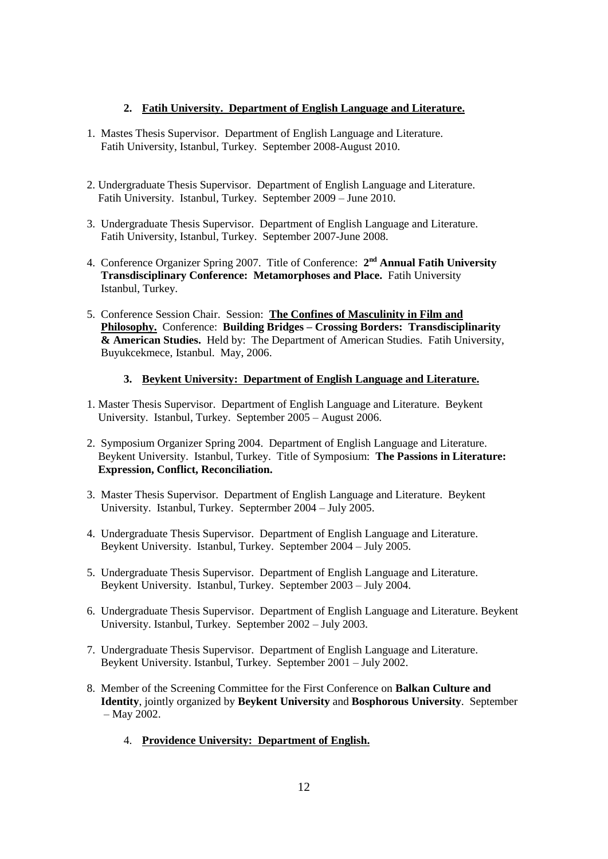## **2. Fatih University. Department of English Language and Literature.**

- 1. Mastes Thesis Supervisor. Department of English Language and Literature. Fatih University, Istanbul, Turkey. September 2008-August 2010.
- 2. Undergraduate Thesis Supervisor. Department of English Language and Literature. Fatih University. Istanbul, Turkey. September 2009 – June 2010.
- 3. Undergraduate Thesis Supervisor. Department of English Language and Literature. Fatih University, Istanbul, Turkey. September 2007-June 2008.
- 4. Conference Organizer Spring 2007. Title of Conference: 2<sup>nd</sup> Annual Fatih University  **Transdisciplinary Conference: Metamorphoses and Place.** Fatih University Istanbul, Turkey.
- 5. Conference Session Chair. Session: **The Confines of Masculinity in Film and Philosophy.** Conference: **Building Bridges – Crossing Borders: Transdisciplinarity & American Studies.** Held by: The Department of American Studies. Fatih University, Buyukcekmece, Istanbul. May, 2006.

## **3. Beykent University: Department of English Language and Literature.**

- 1. Master Thesis Supervisor. Department of English Language and Literature. Beykent University. Istanbul, Turkey. September 2005 – August 2006.
- 2. Symposium Organizer Spring 2004. Department of English Language and Literature. Beykent University. Istanbul, Turkey. Title of Symposium: **The Passions in Literature: Expression, Conflict, Reconciliation.**
- 3. Master Thesis Supervisor. Department of English Language and Literature. Beykent University. Istanbul, Turkey. Septermber 2004 – July 2005.
- 4. Undergraduate Thesis Supervisor. Department of English Language and Literature. Beykent University. Istanbul, Turkey. September 2004 – July 2005.
- 5. Undergraduate Thesis Supervisor. Department of English Language and Literature. Beykent University. Istanbul, Turkey. September 2003 – July 2004.
- 6. Undergraduate Thesis Supervisor. Department of English Language and Literature. Beykent University. Istanbul, Turkey. September 2002 – July 2003.
- 7. Undergraduate Thesis Supervisor. Department of English Language and Literature. Beykent University. Istanbul, Turkey. September 2001 – July 2002.
- 8. Member of the Screening Committee for the First Conference on **Balkan Culture and Identity**, jointly organized by **Beykent University** and **Bosphorous University**. September – May 2002.
	- 4. **Providence University: Department of English.**